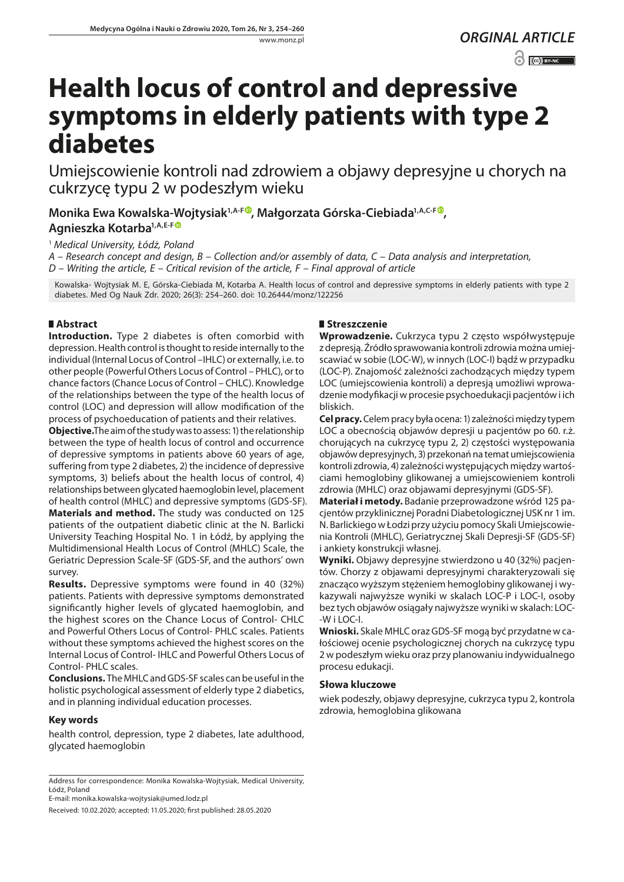www.monz.pl

*ORGINAL ARTICLE*

 $\odot$   $\odot$  BY-NC

# **Health locus of control and depressive symptoms in elderly patients with type 2 diabetes**

Umiejscowienie kontroli nad zdrowiem a objawy depresyjne u chorych na cukrzycę typu 2 w podeszłym wieku

**Monika Ewa Kowalska-Wojtysiak1,A-[F](https://orcid.org/0000-0001-9218-0026) , Małgorzata Górska-Ciebiada1,A,C-F , Agnieszka Kotarba1,A,E-[F](https://orcid.org/0000-0002-0755-3172)**

<sup>1</sup> *Medical University, Łódż, Poland*

*A – Research concept and design, B – Collection and/or assembly of data, C – Data analysis and interpretation, D – Writing the article, E – Critical revision of the article, F – Final approval of article*

Kowalska- Wojtysiak M. E, Górska-Ciebiada M, Kotarba A. Health locus of control and depressive symptoms in elderly patients with type 2 diabetes. Med Og Nauk Zdr. 2020; 26(3): 254–260. doi: 10.26444/monz/122256

## **Abstract**

**Introduction.** Type 2 diabetes is often comorbid with depression. Health control is thought to reside internally to the individual (Internal Locus of Control –IHLC) or externally, i.e. to other people (Powerful Others Locus of Control – PHLC), or to chance factors (Chance Locus of Control – CHLC). Knowledge of the relationships between the type of the health locus of control (LOC) and depression will allow modification of the process of psychoeducation of patients and their relatives.

**Objective.**The aim of the study was to assess: 1) the relationship between the type of health locus of control and occurrence of depressive symptoms in patients above 60 years of age, suffering from type 2 diabetes, 2) the incidence of depressive symptoms, 3) beliefs about the health locus of control, 4) relationships between glycated haemoglobin level, placement of health control (MHLC) and depressive symptoms (GDS-SF).

**Materials and method.** The study was conducted on 125 patients of the outpatient diabetic clinic at the N. Barlicki University Teaching Hospital No. 1 in Łódź, by applying the Multidimensional Health Locus of Control (MHLC) Scale, the Geriatric Depression Scale-SF (GDS-SF, and the authors' own survey.

**Results.** Depressive symptoms were found in 40 (32%) patients. Patients with depressive symptoms demonstrated significantly higher levels of glycated haemoglobin, and the highest scores on the Chance Locus of Control- CHLC and Powerful Others Locus of Control- PHLC scales. Patients without these symptoms achieved the highest scores on the Internal Locus of Control- IHLC and Powerful Others Locus of Control- PHLC scales.

**Conclusions.** The MHLC and GDS-SF scales can be useful in the holistic psychological assessment of elderly type 2 diabetics, and in planning individual education processes.

## **Key words**

health control, depression, type 2 diabetes, late adulthood, glycated haemoglobin

E-mail: [monika.kowalska-wojtysiak@umed.lodz.pl](mailto:monika.kowalska-wojtysiak@umed.lodz.pl)

Received: 10.02.2020; accepted: 11.05.2020; first published: 28.05.2020

## **Streszczenie**

**Wprowadzenie.** Cukrzyca typu 2 często współwystępuje z depresją. Źródło sprawowania kontroli zdrowia można umiejscawiać w sobie (LOC-W), w innych (LOC-I) bądź w przypadku (LOC-P). Znajomość zależności zachodzących między typem LOC (umiejscowienia kontroli) a depresją umożliwi wprowadzenie modyfikacji w procesie psychoedukacji pacjentów i ich bliskich.

**Cel pracy.** Celem pracy była ocena: 1) zależności między typem LOC a obecnością objawów depresji u pacjentów po 60. r.ż. chorujących na cukrzycę typu 2, 2) częstości występowania objawów depresyjnych, 3) przekonań na temat umiejscowienia kontroli zdrowia, 4) zależności występujących między wartościami hemoglobiny glikowanej a umiejscowieniem kontroli zdrowia (MHLC) oraz objawami depresyjnymi (GDS-SF).

**Materiał i metody.** Badanie przeprowadzone wśród 125 pacjentów przyklinicznej Poradni Diabetologicznej USK nr 1 im. N. Barlickiego w Łodzi przy użyciu pomocy Skali Umiejscowienia Kontroli (MHLC), Geriatrycznej Skali Depresji-SF (GDS-SF) i ankiety konstrukcji własnej.

**Wyniki.** Objawy depresyjne stwierdzono u 40 (32%) pacjentów. Chorzy z objawami depresyjnymi charakteryzowali się znacząco wyższym stężeniem hemoglobiny glikowanej i wykazywali najwyższe wyniki w skalach LOC-P i LOC-I, osoby bez tych objawów osiągały najwyższe wyniki w skalach: LOC- -W i LOC-I.

**Wnioski.** Skale MHLC oraz GDS-SF mogą być przydatne w całościowej ocenie psychologicznej chorych na cukrzycę typu 2 w podeszłym wieku oraz przy planowaniu indywidualnego procesu edukacji.

## **Słowa kluczowe**

wiek podeszły, objawy depresyjne, cukrzyca typu 2, kontrola zdrowia, hemoglobina glikowana

Address for correspondence: Monika Kowalska-Wojtysiak, Medical University, Łódż, Poland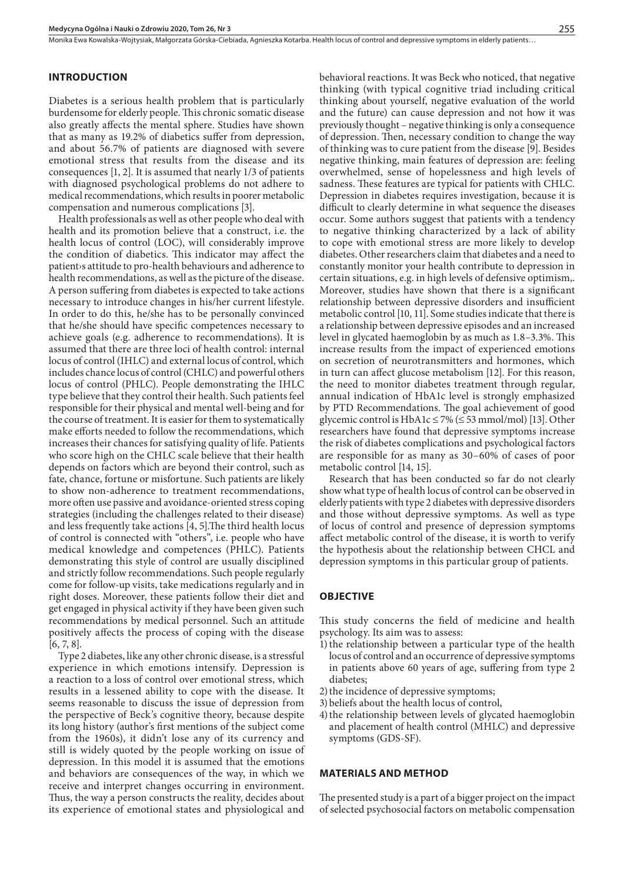Monika Ewa Kowalska-Wojtysiak, Małgorzata Górska-Ciebiada, Agnieszka Kotarba . Health locus of control and depressive symptoms in elderly patients…

#### **INTRODUCTION**

Diabetes is a serious health problem that is particularly burdensome for elderly people. This chronic somatic disease also greatly affects the mental sphere. Studies have shown that as many as 19.2% of diabetics suffer from depression, and about 56.7% of patients are diagnosed with severe emotional stress that results from the disease and its consequences [1, 2]. It is assumed that nearly 1/3 of patients with diagnosed psychological problems do not adhere to medical recommendations, which results in poorer metabolic compensation and numerous complications [3].

Health professionals as well as other people who deal with health and its promotion believe that a construct, i.e. the health locus of control (LOC), will considerably improve the condition of diabetics. This indicator may affect the patient›s attitude to pro-health behaviours and adherence to health recommendations, as well as the picture of the disease. A person suffering from diabetes is expected to take actions necessary to introduce changes in his/her current lifestyle. In order to do this, he/she has to be personally convinced that he/she should have specific competences necessary to achieve goals (e.g. adherence to recommendations). It is assumed that there are three loci of health control: internal locus of control (IHLC) and external locus of control, which includes chance locus of control (CHLC) and powerful others locus of control (PHLC). People demonstrating the IHLC type believe that they control their health. Such patients feel responsible for their physical and mental well-being and for the course of treatment. It is easier for them to systematically make efforts needed to follow the recommendations, which increases their chances for satisfying quality of life. Patients who score high on the CHLC scale believe that their health depends on factors which are beyond their control, such as fate, chance, fortune or misfortune. Such patients are likely to show non-adherence to treatment recommendations, more often use passive and avoidance-oriented stress coping strategies (including the challenges related to their disease) and less frequently take actions [4, 5].The third health locus of control is connected with "others", i.e. people who have medical knowledge and competences (PHLC). Patients demonstrating this style of control are usually disciplined and strictly follow recommendations. Such people regularly come for follow-up visits, take medications regularly and in right doses. Moreover, these patients follow their diet and get engaged in physical activity if they have been given such recommendations by medical personnel. Such an attitude positively affects the process of coping with the disease [6, 7, 8].

Type 2 diabetes, like any other chronic disease, is a stressful experience in which emotions intensify. Depression is a reaction to a loss of control over emotional stress, which results in a lessened ability to cope with the disease. It seems reasonable to discuss the issue of depression from the perspective of Beck's cognitive theory, because despite its long history (author's first mentions of the subject come from the 1960s), it didn't lose any of its currency and still is widely quoted by the people working on issue of depression. In this model it is assumed that the emotions and behaviors are consequences of the way, in which we receive and interpret changes occurring in environment. Thus, the way a person constructs the reality, decides about its experience of emotional states and physiological and

behavioral reactions. It was Beck who noticed, that negative thinking (with typical cognitive triad including critical thinking about yourself, negative evaluation of the world and the future) can cause depression and not how it was previously thought – negative thinking is only a consequence of depression. Then, necessary condition to change the way of thinking was to cure patient from the disease [9]. Besides negative thinking, main features of depression are: feeling overwhelmed, sense of hopelessness and high levels of sadness. These features are typical for patients with CHLC. Depression in diabetes requires investigation, because it is difficult to clearly determine in what sequence the diseases occur. Some authors suggest that patients with a tendency to negative thinking characterized by a lack of ability to cope with emotional stress are more likely to develop diabetes. Other researchers claim that diabetes and a need to constantly monitor your health contribute to depression in certain situations, e.g. in high levels of defensive optimism,. Moreover, studies have shown that there is a significant relationship between depressive disorders and insufficient metabolic control [10, 11]. Some studies indicate that there is a relationship between depressive episodes and an increased level in glycated haemoglobin by as much as 1.8–3.3%. This increase results from the impact of experienced emotions on secretion of neurotransmitters and hormones, which in turn can affect glucose metabolism [12]. For this reason, the need to monitor diabetes treatment through regular, annual indication of HbA1c level is strongly emphasized by PTD Recommendations. The goal achievement of good glycemic control is  $HbA1c \le 7\%$  ( $\le 53$  mmol/mol) [13]. Other researchers have found that depressive symptoms increase the risk of diabetes complications and psychological factors are responsible for as many as 30–60% of cases of poor metabolic control [14, 15].

Research that has been conducted so far do not clearly show what type of health locus of control can be observed in elderly patients with type 2 diabetes with depressive disorders and those without depressive symptoms. As well as type of locus of control and presence of depression symptoms affect metabolic control of the disease, it is worth to verify the hypothesis about the relationship between CHCL and depression symptoms in this particular group of patients.

### **OBJECTIVE**

This study concerns the field of medicine and health psychology. Its aim was to assess:

- 1) the relationship between a particular type of the health locus of control and an occurrence of depressive symptoms in patients above 60 years of age, suffering from type 2 diabetes;
- 2) the incidence of depressive symptoms;
- 3)beliefs about the health locus of control,
- 4) the relationship between levels of glycated haemoglobin and placement of health control (MHLC) and depressive symptoms (GDS-SF).

#### **MATERIALS AND METHOD**

The presented study is a part of a bigger project on the impact of selected psychosocial factors on metabolic compensation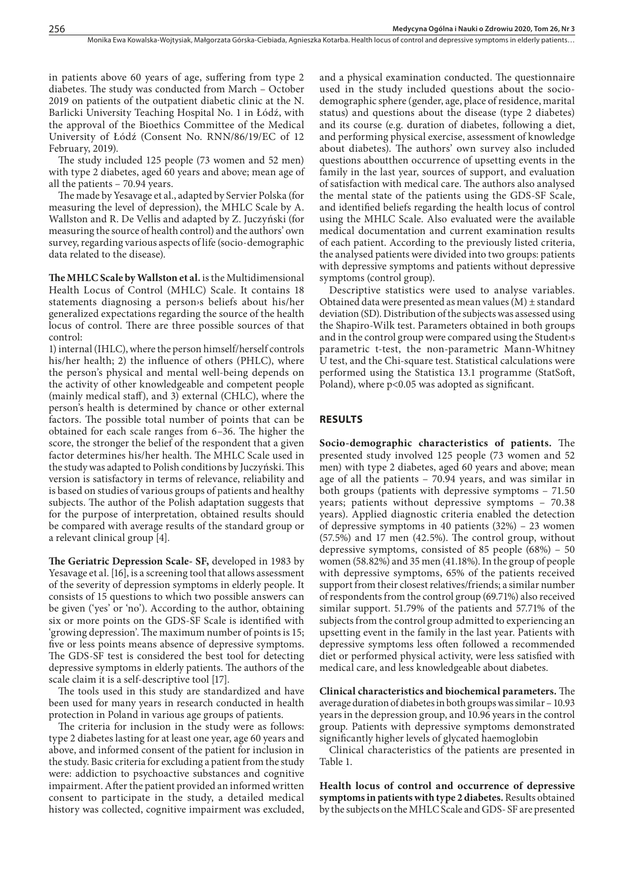in patients above 60 years of age, suffering from type 2 diabetes. The study was conducted from March – October 2019 on patients of the outpatient diabetic clinic at the N. Barlicki University Teaching Hospital No. 1 in Łódź, with the approval of the Bioethics Committee of the Medical University of Łódź (Consent No. RNN/86/19/EC of 12 February, 2019).

The study included 125 people (73 women and 52 men) with type 2 diabetes, aged 60 years and above; mean age of all the patients – 70.94 years.

The made by Yesavage et al., adapted by Servier Polska (for measuring the level of depression), the MHLC Scale by A. Wallston and R. De Vellis and adapted by Z. Juczyński (for measuring the source of health control) and the authors' own survey, regarding various aspects of life (socio-demographic data related to the disease).

**The MHLC Scale by Wallston et al.** is the Multidimensional Health Locus of Control (MHLC) Scale. It contains 18 statements diagnosing a person›s beliefs about his/her generalized expectations regarding the source of the health locus of control. There are three possible sources of that control:

1) internal (IHLC), where the person himself/herself controls his/her health; 2) the influence of others (PHLC), where the person's physical and mental well-being depends on the activity of other knowledgeable and competent people (mainly medical staff), and 3) external (CHLC), where the person's health is determined by chance or other external factors. The possible total number of points that can be obtained for each scale ranges from 6–36. The higher the score, the stronger the belief of the respondent that a given factor determines his/her health. The MHLC Scale used in the study was adapted to Polish conditions by Juczyński. This version is satisfactory in terms of relevance, reliability and is based on studies of various groups of patients and healthy subjects. The author of the Polish adaptation suggests that for the purpose of interpretation, obtained results should be compared with average results of the standard group or a relevant clinical group [4].

**The Geriatric Depression Scale- SF,** developed in 1983 by Yesavage et al. [16], is a screening tool that allows assessment of the severity of depression symptoms in elderly people. It consists of 15 questions to which two possible answers can be given ('yes' or 'no'). According to the author, obtaining six or more points on the GDS-SF Scale is identified with 'growing depression'. The maximum number of points is 15; five or less points means absence of depressive symptoms. The GDS-SF test is considered the best tool for detecting depressive symptoms in elderly patients. The authors of the scale claim it is a self-descriptive tool [17].

The tools used in this study are standardized and have been used for many years in research conducted in health protection in Poland in various age groups of patients.

The criteria for inclusion in the study were as follows: type 2 diabetes lasting for at least one year, age 60 years and above, and informed consent of the patient for inclusion in the study. Basic criteria for excluding a patient from the study were: addiction to psychoactive substances and cognitive impairment. After the patient provided an informed written consent to participate in the study, a detailed medical history was collected, cognitive impairment was excluded,

and a physical examination conducted. The questionnaire used in the study included questions about the sociodemographic sphere (gender, age, place of residence, marital status) and questions about the disease (type 2 diabetes) and its course (e.g. duration of diabetes, following a diet, and performing physical exercise, assessment of knowledge about diabetes). The authors' own survey also included questions aboutthen occurrence of upsetting events in the family in the last year, sources of support, and evaluation of satisfaction with medical care. The authors also analysed the mental state of the patients using the GDS-SF Scale, and identified beliefs regarding the health locus of control using the MHLC Scale. Also evaluated were the available medical documentation and current examination results of each patient. According to the previously listed criteria, the analysed patients were divided into two groups: patients with depressive symptoms and patients without depressive symptoms (control group).

Descriptive statistics were used to analyse variables. Obtained data were presented as mean values  $(M)$   $\pm$  standard deviation (SD). Distribution of the subjects was assessed using the Shapiro-Wilk test. Parameters obtained in both groups and in the control group were compared using the Student›s parametric t-test, the non-parametric Mann-Whitney U test, and the Chi-square test. Statistical calculations were performed using the Statistica 13.1 programme (StatSoft, Poland), where  $p<0.05$  was adopted as significant.

#### **RESULTS**

**Socio-demographic characteristics of patients.** The presented study involved 125 people (73 women and 52 men) with type 2 diabetes, aged 60 years and above; mean age of all the patients – 70.94 years, and was similar in both groups (patients with depressive symptoms – 71.50 years; patients without depressive symptoms – 70.38 years). Applied diagnostic criteria enabled the detection of depressive symptoms in 40 patients (32%) – 23 women (57.5%) and 17 men (42.5%). The control group, without depressive symptoms, consisted of 85 people (68%) – 50 women (58.82%) and 35 men (41.18%). In the group of people with depressive symptoms, 65% of the patients received support from their closest relatives/friends; a similar number of respondents from the control group (69.71%) also received similar support. 51.79% of the patients and 57.71% of the subjects from the control group admitted to experiencing an upsetting event in the family in the last year. Patients with depressive symptoms less often followed a recommended diet or performed physical activity, were less satisfied with medical care, and less knowledgeable about diabetes.

**Clinical characteristics and biochemical parameters.** The average duration of diabetes in both groups was similar – 10.93 years in the depression group, and 10.96 years in the control group. Patients with depressive symptoms demonstrated significantly higher levels of glycated haemoglobin

Clinical characteristics of the patients are presented in Table 1.

**Health locus of control and occurrence of depressive symptoms in patients with type 2 diabetes.** Results obtained by the subjects on the MHLC Scale and GDS- SF are presented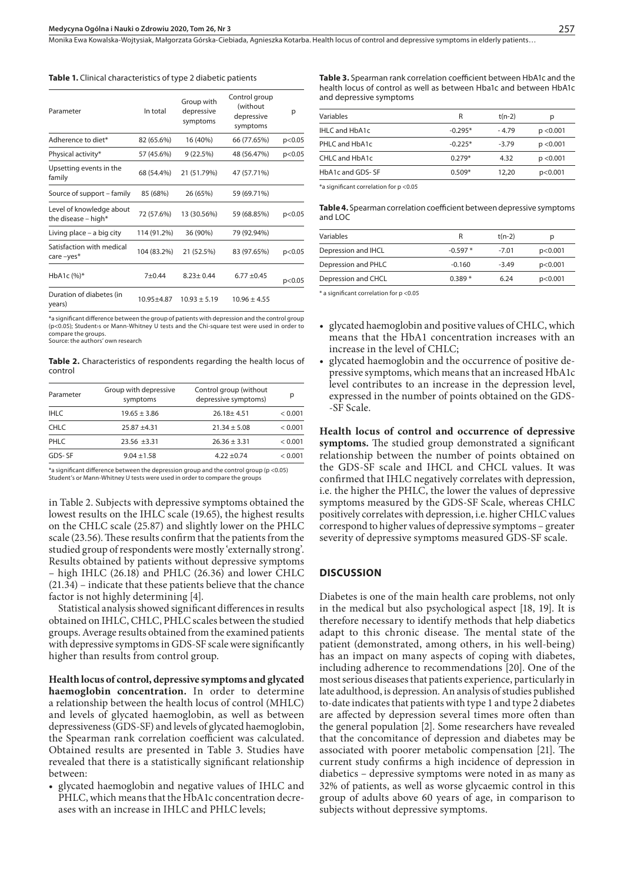Monika Ewa Kowalska-Wojtysiak, Małgorzata Górska-Ciebiada, Agnieszka Kotarba . Health locus of control and depressive symptoms in elderly patients…

**Table 1.** Clinical characteristics of type 2 diabetic patients

| In total    | Group with<br>depressive<br>symptoms | Control group<br>(without<br>depressive<br>symptoms | р      |
|-------------|--------------------------------------|-----------------------------------------------------|--------|
| 82 (65.6%)  | 16 (40%)                             | 66 (77.65%)                                         | p<0.05 |
| 57 (45.6%)  | 9(22.5%)                             | 48 (56.47%)                                         | p<0.05 |
| 68 (54.4%)  | 21 (51.79%)                          | 47 (57.71%)                                         |        |
| 85 (68%)    | 26 (65%)                             | 59 (69.71%)                                         |        |
| 72 (57.6%)  | 13 (30.56%)                          | 59 (68.85%)                                         | p<0.05 |
| 114 (91.2%) | 36 (90%)                             | 79 (92.94%)                                         |        |
| 104 (83.2%) | 21 (52.5%)                           | 83 (97.65%)                                         | p<0.05 |
| $7 + 0.44$  | $8.23 + 0.44$                        | $6.77 + 0.45$                                       | p<0.05 |
| 10.95+4.87  | $10.93 + 5.19$                       | $10.96 \pm 4.55$                                    |        |
|             |                                      |                                                     |        |

\*a significant difference between the group of patients with depression and the control group (p<0.05); Student›s or Mann-Whitney U tests and the Chi-square test were used in order to compare the groups. Source: the authors' own research

**Table 2.** Characteristics of respondents regarding the health locus of control

| Parameter   | Group with depressive<br>symptoms | Control group (without<br>depressive symptoms) | р       |
|-------------|-----------------------------------|------------------------------------------------|---------|
| <b>IHLC</b> | $19.65 \pm 3.86$                  | $26.18 + 4.51$                                 | < 0.001 |
| <b>CHLC</b> | $25.87 + 4.31$                    | $21.34 \pm 5.08$                               | < 0.001 |
| PHLC        | $23.56 + 3.31$                    | $26.36 \pm 3.31$                               | < 0.001 |
| GDS-SF      | $9.04 \pm 1.58$                   | $4.22 + 0.74$                                  | < 0.001 |

\*a significant difference between the depression group and the control group (p <0.05) Student's or Mann-Whitney U tests were used in order to compare the groups

in Table 2. Subjects with depressive symptoms obtained the lowest results on the IHLC scale (19.65), the highest results on the CHLC scale (25.87) and slightly lower on the PHLC scale (23.56). These results confirm that the patients from the studied group of respondents were mostly 'externally strong'. Results obtained by patients without depressive symptoms – high IHLC (26.18) and PHLC (26.36) and lower CHLC (21.34) – indicate that these patients believe that the chance factor is not highly determining [4].

Statistical analysis showed significant differences in results obtained on IHLC, CHLC, PHLC scales between the studied groups. Average results obtained from the examined patients with depressive symptoms in GDS-SF scale were significantly higher than results from control group.

**Health locus of control, depressive symptoms and glycated haemoglobin concentration.** In order to determine a relationship between the health locus of control (MHLC) and levels of glycated haemoglobin, as well as between depressiveness (GDS-SF) and levels of glycated haemoglobin, the Spearman rank correlation coefficient was calculated. Obtained results are presented in Table 3. Studies have revealed that there is a statistically significant relationship between:

glycated haemoglobin and negative values of IHLC and PHLC, which means that the HbA1c concentration decreases with an increase in IHLC and PHLC levels;

**Table 3.** Spearman rank correlation coefficient between HbA1c and the health locus of control as well as between Hba1c and between HbA1c and depressive symptoms

| Variables             | R         | $t(n-2)$ | р         |
|-----------------------|-----------|----------|-----------|
| <b>IHLC and HbA1c</b> | $-0.295*$ | $-4.79$  | p < 0.001 |
| PHLC and HbA1c        | $-0.225*$ | $-3.79$  | p < 0.001 |
| CHLC and HbA1c        | $0.279*$  | 4.32     | p < 0.001 |
| HbA1c and GDS-SF      | $0.509*$  | 12.20    | p<0.001   |
|                       |           |          |           |

\*a significant correlation for p <0.05

**Table 4.** Spearman correlation coefficient between depressive symptoms and LOC

| Variables           | R         | $t(n-2)$ | р       |
|---------------------|-----------|----------|---------|
| Depression and IHCL | $-0.597*$ | $-7.01$  | p<0.001 |
| Depression and PHLC | $-0.160$  | $-3.49$  | p<0.001 |
| Depression and CHCL | 0.389 *   | 6.24     | p<0.001 |
|                     |           |          |         |

\* a significant correlation for p <0.05

- glycated haemoglobin and positive values of CHLC, which means that the HbA1 concentration increases with an increase in the level of CHLC;
- glycated haemoglobin and the occurrence of positive depressive symptoms, which means that an increased HbA1c level contributes to an increase in the depression level, expressed in the number of points obtained on the GDS- -SF Scale.

**Health locus of control and occurrence of depressive symptoms.** The studied group demonstrated a significant relationship between the number of points obtained on the GDS-SF scale and IHCL and CHCL values. It was confirmed that IHLC negatively correlates with depression, i.e. the higher the PHLC, the lower the values of depressive symptoms measured by the GDS-SF Scale, whereas CHLC positively correlates with depression, i.e. higher CHLC values correspond to higher values of depressive symptoms – greater severity of depressive symptoms measured GDS-SF scale.

#### **DISCUSSION**

Diabetes is one of the main health care problems, not only in the medical but also psychological aspect [18, 19]. It is therefore necessary to identify methods that help diabetics adapt to this chronic disease. The mental state of the patient (demonstrated, among others, in his well-being) has an impact on many aspects of coping with diabetes, including adherence to recommendations [20]. One of the most serious diseases that patients experience, particularly in late adulthood, is depression. An analysis of studies published to-date indicates that patients with type 1 and type 2 diabetes are affected by depression several times more often than the general population [2]. Some researchers have revealed that the concomitance of depression and diabetes may be associated with poorer metabolic compensation [21]. The current study confirms a high incidence of depression in diabetics – depressive symptoms were noted in as many as 32% of patients, as well as worse glycaemic control in this group of adults above 60 years of age, in comparison to subjects without depressive symptoms.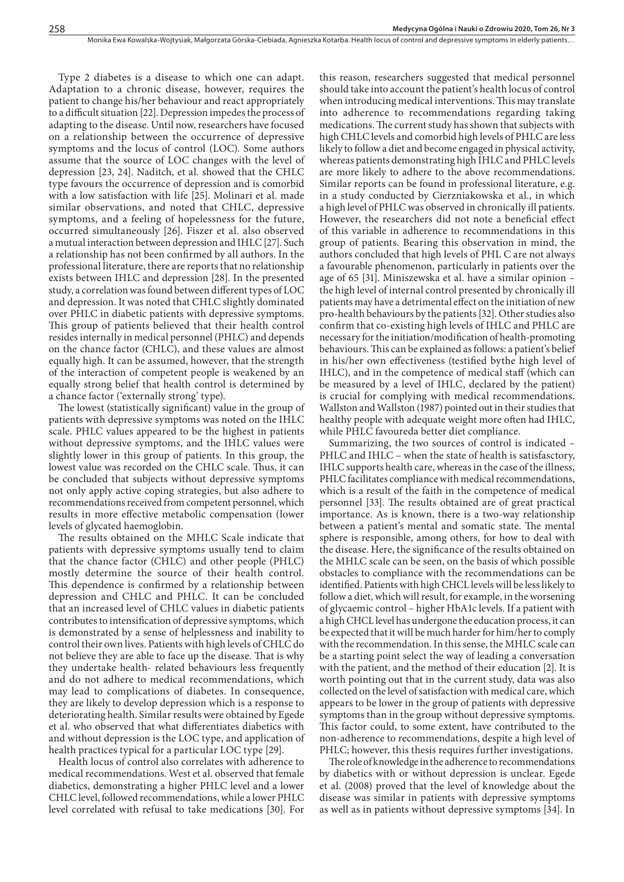Type 2 diabetes is a disease to which one can adapt. Adaptation to a chronic disease, however, requires the patient to change his/her behaviour and react appropriately to a difficult situation [22]. Depression impedes the process of adapting to the disease. Until now, researchers have focused on a relationship between the occurrence of depressive symptoms and the locus of control (LOC). Some authors assume that the source of LOC changes with the level of depression [23, 24]. Naditch, et al. showed that the CHLC type favours the occurrence of depression and is comorbid with a low satisfaction with life [25]. Molinari et al. made similar observations, and noted that CHLC, depressive symptoms, and a feeling of hopelessness for the future, occurred simultaneously [26]. Fiszer et al. also observed a mutual interaction between depression and IHLC [27]. Such a relationship has not been confirmed by all authors. In the professional literature, there are reports that no relationship exists between IHLC and depression [28]. In the presented study, a correlation was found between different types of LOC and depression. It was noted that CHLC slightly dominated over PHLC in diabetic patients with depressive symptoms. This group of patients believed that their health control resides internally in medical personnel (PHLC) and depends on the chance factor (CHLC), and these values are almost equally high. It can be assumed, however, that the strength of the interaction of competent people is weakened by an equally strong belief that health control is determined by a chance factor ('externally strong' type).

The lowest (statistically significant) value in the group of patients with depressive symptoms was noted on the IHLC scale. PHLC values appeared to be the highest in patients without depressive symptoms, and the IHLC values were slightly lower in this group of patients. In this group, the lowest value was recorded on the CHLC scale. Thus, it can be concluded that subjects without depressive symptoms not only apply active coping strategies, but also adhere to recommendations received from competent personnel, which results in more effective metabolic compensation (lower levels of glycated haemoglobin.

The results obtained on the MHLC Scale indicate that patients with depressive symptoms usually tend to claim that the chance factor (CHLC) and other people (PHLC) mostly determine the source of their health control. This dependence is confirmed by a relationship between depression and CHLC and PHLC. It can be concluded that an increased level of CHLC values in diabetic patients contributes to intensification of depressive symptoms, which is demonstrated by a sense of helplessness and inability to control their own lives. Patients with high levels of CHLC do not believe they are able to face up the disease. That is why they undertake health- related behaviours less frequently and do not adhere to medical recommendations, which may lead to complications of diabetes. In consequence, they are likely to develop depression which is a response to deteriorating health. Similar results were obtained by Egede et al. who observed that what differentiates diabetics with and without depression is the LOC type, and application of health practices typical for a particular LOC type [29].

Health locus of control also correlates with adherence to medical recommendations. West et al. observed that female diabetics, demonstrating a higher PHLC level and a lower CHLC level, followed recommendations, while a lower PHLC level correlated with refusal to take medications [30]. For

this reason, researchers suggested that medical personnel should take into account the patient's health locus of control when introducing medical interventions. This may translate into adherence to recommendations regarding taking medications. The current study has shown that subjects with high CHLC levels and comorbid high levels of PHLC are less likely to follow a diet and become engaged in physical activity, whereas patients demonstrating high IHLC and PHLC levels are more likely to adhere to the above recommendations. Similar reports can be found in professional literature, e.g. in a study conducted by Cierzniakowska et al., in which a high level of PHLC was observed in chronically ill patients. However, the researchers did not note a beneficial effect of this variable in adherence to recommendations in this group of patients. Bearing this observation in mind, the authors concluded that high levels of PHL C are not always a favourable phenomenon, particularly in patients over the age of 65 [31]. Miniszewska et al. have a similar opinion – the high level of internal control presented by chronically ill patients may have a detrimental effect on the initiation of new pro-health behaviours by the patients [32]. Other studies also confirm that co-existing high levels of IHLC and PHLC are necessary for the initiation/modification of health-promoting behaviours. This can be explained as follows: a patient's belief in his/her own effectiveness (testified bythe high level of IHLC), and in the competence of medical staff (which can be measured by a level of IHLC, declared by the patient) is crucial for complying with medical recommendations. Wallston and Wallston (1987) pointed out in their studies that healthy people with adequate weight more often had IHLC, while PHLC favoureda better diet compliance.

Summarizing, the two sources of control is indicated – PHLC and IHLC – when the state of health is satisfasctory, IHLC supports health care, whereas in the case of the illness, PHLC facilitates compliance with medical recommendations, which is a result of the faith in the competence of medical personnel [33]. The results obtained are of great practical importance. As is known, there is a two-way relationship between a patient's mental and somatic state. The mental sphere is responsible, among others, for how to deal with the disease. Here, the significance of the results obtained on the MHLC scale can be seen, on the basis of which possible obstacles to compliance with the recommendations can be identified. Patients with high CHCL levels will be less likely to follow a diet, which will result, for example, in the worsening of glycaemic control – higher HbA1c levels. If a patient with a high CHCL level has undergone the education process, it can be expected that it will be much harder for him/her to comply with the recommendation. In this sense, the MHLC scale can be a starting point select the way of leading a conversation with the patient, and the method of their education [2]. It is worth pointing out that in the current study, data was also collected on the level of satisfaction with medical care, which appears to be lower in the group of patients with depressive symptoms than in the group without depressive symptoms. This factor could, to some extent, have contributed to the non-adherence to recommendations, despite a high level of PHLC; however, this thesis requires further investigations.

The role of knowledge in the adherence to recommendations by diabetics with or without depression is unclear. Egede et al. (2008) proved that the level of knowledge about the disease was similar in patients with depressive symptoms as well as in patients without depressive symptoms [34]. In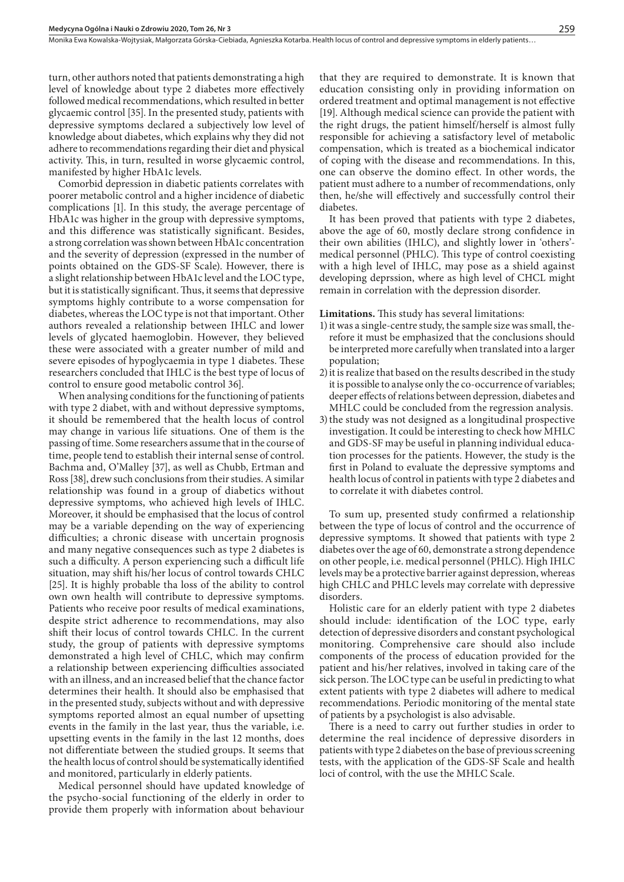turn, other authors noted that patients demonstrating a high level of knowledge about type 2 diabetes more effectively followed medical recommendations, which resulted in better glycaemic control [35]. In the presented study, patients with depressive symptoms declared a subjectively low level of knowledge about diabetes, which explains why they did not adhere to recommendations regarding their diet and physical activity. This, in turn, resulted in worse glycaemic control, manifested by higher HbA1c levels.

Comorbid depression in diabetic patients correlates with poorer metabolic control and a higher incidence of diabetic complications [1]. In this study, the average percentage of HbA1c was higher in the group with depressive symptoms, and this difference was statistically significant. Besides, a strong correlation was shown between HbA1c concentration and the severity of depression (expressed in the number of points obtained on the GDS-SF Scale). However, there is a slight relationship between HbA1c level and the LOC type, but it is statistically significant. Thus, it seems that depressive symptoms highly contribute to a worse compensation for diabetes, whereas the LOC type is not that important. Other authors revealed a relationship between IHLC and lower levels of glycated haemoglobin. However, they believed these were associated with a greater number of mild and severe episodes of hypoglycaemia in type 1 diabetes. These researchers concluded that IHLC is the best type of locus of control to ensure good metabolic control 36].

When analysing conditions for the functioning of patients with type 2 diabet, with and without depressive symptoms, it should be remembered that the health locus of control may change in various life situations. One of them is the passing of time. Some researchers assume that in the course of time, people tend to establish their internal sense of control. Bachma and, O'Malley [37], as well as Chubb, Ertman and Ross [38], drew such conclusions from their studies. A similar relationship was found in a group of diabetics without depressive symptoms, who achieved high levels of IHLC. Moreover, it should be emphasised that the locus of control may be a variable depending on the way of experiencing difficulties; a chronic disease with uncertain prognosis and many negative consequences such as type 2 diabetes is such a difficulty. A person experiencing such a difficult life situation, may shift his/her locus of control towards CHLC [25]. It is highly probable tha loss of the ability to control own own health will contribute to depressive symptoms. Patients who receive poor results of medical examinations, despite strict adherence to recommendations, may also shift their locus of control towards CHLC. In the current study, the group of patients with depressive symptoms demonstrated a high level of CHLC, which may confirm a relationship between experiencing difficulties associated with an illness, and an increased belief that the chance factor determines their health. It should also be emphasised that in the presented study, subjects without and with depressive symptoms reported almost an equal number of upsetting events in the family in the last year, thus the variable, i.e. upsetting events in the family in the last 12 months, does not differentiate between the studied groups. It seems that the health locus of control should be systematically identified and monitored, particularly in elderly patients.

Medical personnel should have updated knowledge of the psycho-social functioning of the elderly in order to provide them properly with information about behaviour

that they are required to demonstrate. It is known that education consisting only in providing information on ordered treatment and optimal management is not effective [19]. Although medical science can provide the patient with the right drugs, the patient himself/herself is almost fully responsible for achieving a satisfactory level of metabolic compensation, which is treated as a biochemical indicator of coping with the disease and recommendations. In this, one can observe the domino effect. In other words, the patient must adhere to a number of recommendations, only then, he/she will effectively and successfully control their diabetes.

It has been proved that patients with type 2 diabetes, above the age of 60, mostly declare strong confidence in their own abilities (IHLC), and slightly lower in 'others' medical personnel (PHLC). This type of control coexisting with a high level of IHLC, may pose as a shield against developing deprssion, where as high level of CHCL might remain in correlation with the depression disorder.

**Limitations.** This study has several limitations:

- 1)it was a single-centre study, the sample size was small, therefore it must be emphasized that the conclusions should be interpreted more carefully when translated into a larger population;
- 2)it is realize that based on the results described in the study it is possible to analyse only the co-occurrence of variables; deeper effects of relations between depression, diabetes and MHLC could be concluded from the regression analysis.
- 3)the study was not designed as a longitudinal prospective investigation. It could be interesting to check how MHLC and GDS-SF may be useful in planning individual education processes for the patients. However, the study is the first in Poland to evaluate the depressive symptoms and health locus of control in patients with type 2 diabetes and to correlate it with diabetes control.

To sum up, presented study confirmed a relationship between the type of locus of control and the occurrence of depressive symptoms. It showed that patients with type 2 diabetes over the age of 60, demonstrate a strong dependence on other people, i.e. medical personnel (PHLC). High IHLC levels may be a protective barrier against depression, whereas high CHLC and PHLC levels may correlate with depressive disorders.

Holistic care for an elderly patient with type 2 diabetes should include: identification of the LOC type, early detection of depressive disorders and constant psychological monitoring. Comprehensive care should also include components of the process of education provided for the patient and his/her relatives, involved in taking care of the sick person. The LOC type can be useful in predicting to what extent patients with type 2 diabetes will adhere to medical recommendations. Periodic monitoring of the mental state of patients by a psychologist is also advisable.

There is a need to carry out further studies in order to determine the real incidence of depressive disorders in patients with type 2 diabetes on the base of previous screening tests, with the application of the GDS-SF Scale and health loci of control, with the use the MHLC Scale.